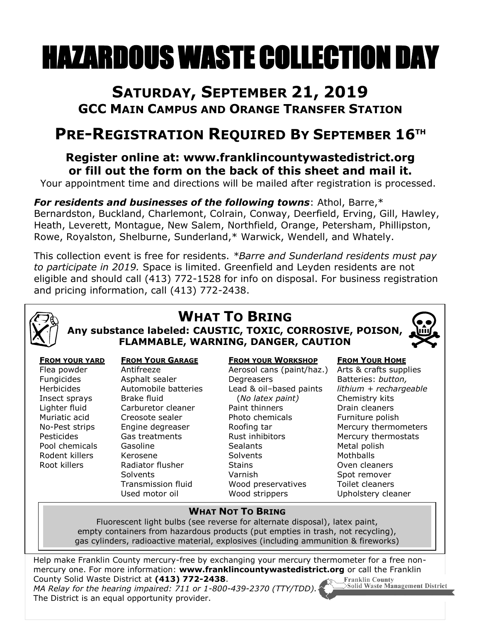# HAZARDOUS WASTE COLLECTION DAY

## **SATURDAY, SEPTEMBER 21, 2019 GCC MAIN CAMPUS AND ORANGE TRANSFER STATION**

# **PRE-REGISTRATION REQUIRED BY SEPTEMBER 16 TH**

### **Register online at: www.franklincountywastedistrict.org or fill out the form on the back of this sheet and mail it.**

Your appointment time and directions will be mailed after registration is processed.

*For residents and businesses of the following towns*: Athol, Barre,\* Bernardston, Buckland, Charlemont, Colrain, Conway, Deerfield, Erving, Gill, Hawley, Heath, Leverett, Montague, New Salem, Northfield, Orange, Petersham, Phillipston, Rowe, Royalston, Shelburne, Sunderland,\* Warwick, Wendell, and Whately.

This collection event is free for residents. *\*Barre and Sunderland residents must pay to participate in 2019.* Space is limited. Greenfield and Leyden residents are not eligible and should call (413) 772-1528 for info on disposal. For business registration and pricing information, call (413) 772-2438.



## **WHAT TO BRING Any substance labeled: CAUSTIC, TOXIC, CORROSIVE, POISON,**

**FLAMMABLE, WARNING, DANGER, CAUTION**



#### **FROM YOUR YARD** Flea powder Fungicides Herbicides Insect sprays Lighter fluid Muriatic acid No-Pest strips Pesticides Pool chemicals Rodent killers Root killers

#### **FROM YOUR GARAGE**

Antifreeze Asphalt sealer Automobile batteries Brake fluid Carburetor cleaner Creosote sealer Engine degreaser Gas treatments Gasoline Kerosene Radiator flusher **Solvents** Transmission fluid Used motor oil

#### **FROM YOUR WORKSHOP**

Aerosol cans (paint/haz.) **Degreasers** Lead & oil–based paints (*No latex paint)* Paint thinners Photo chemicals Roofing tar Rust inhibitors **Sealants Solvents** Stains Varnish Wood preservatives Wood strippers

#### **FROM YOUR HOME**

Arts & crafts supplies Batteries: *button, lithium + rechargeable* Chemistry kits Drain cleaners Furniture polish Mercury thermometers Mercury thermostats Metal polish **Mothballs** Oven cleaners Spot remover Toilet cleaners Upholstery cleaner

#### **WHAT NOT TO BRING**

Fluorescent light bulbs (see reverse for alternate disposal), latex paint, empty containers from hazardous products (put empties in trash, not recycling), gas cylinders, radioactive material, explosives (including ammunition & fireworks)

Help make Franklin County mercury-free by exchanging your mercury thermometer for a free nonmercury one. For more information: **www.franklincountywastedistrict.org** or call the Franklin County Solid Waste District at **(413) 772-2438**. Franklin County

*MA Relay for the hearing impaired: 711 or 1-800-439-2370 (TTY/TDD).* The District is an equal opportunity provider.

Solid Waste Management District